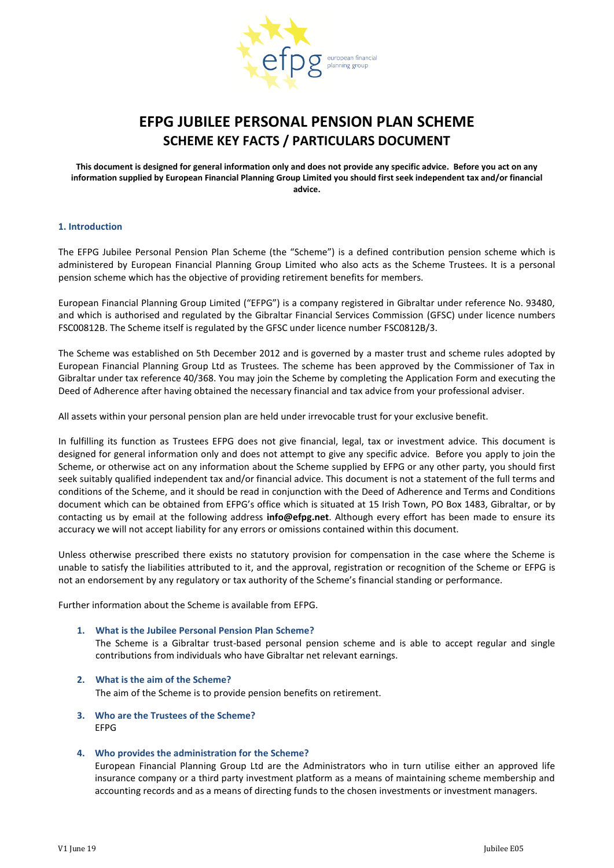

# **EFPG JUBILEE PERSONAL PENSION PLAN SCHEME SCHEME KEY FACTS / PARTICULARS DOCUMENT**

**This document is designed for general information only and does not provide any specific advice. Before you act on any information supplied by European Financial Planning Group Limited you should first seek independent tax and/or financial advice.**

#### **1. Introduction**

The EFPG Jubilee Personal Pension Plan Scheme (the "Scheme") is a defined contribution pension scheme which is administered by European Financial Planning Group Limited who also acts as the Scheme Trustees. It is a personal pension scheme which has the objective of providing retirement benefits for members.

European Financial Planning Group Limited ("EFPG") is a company registered in Gibraltar under reference No. 93480, and which is authorised and regulated by the Gibraltar Financial Services Commission (GFSC) under licence numbers FSC00812B. The Scheme itself is regulated by the GFSC under licence number FSC0812B/3.

The Scheme was established on 5th December 2012 and is governed by a master trust and scheme rules adopted by European Financial Planning Group Ltd as Trustees. The scheme has been approved by the Commissioner of Tax in Gibraltar under tax reference 40/368. You may join the Scheme by completing the Application Form and executing the Deed of Adherence after having obtained the necessary financial and tax advice from your professional adviser.

All assets within your personal pension plan are held under irrevocable trust for your exclusive benefit.

In fulfilling its function as Trustees EFPG does not give financial, legal, tax or investment advice. This document is designed for general information only and does not attempt to give any specific advice. Before you apply to join the Scheme, or otherwise act on any information about the Scheme supplied by EFPG or any other party, you should first seek suitably qualified independent tax and/or financial advice. This document is not a statement of the full terms and conditions of the Scheme, and it should be read in conjunction with the Deed of Adherence and Terms and Conditions document which can be obtained from EFPG's office which is situated at 15 Irish Town, PO Box 1483, Gibraltar, or by contacting us by email at the following address **info@efpg.net**. Although every effort has been made to ensure its accuracy we will not accept liability for any errors or omissions contained within this document.

Unless otherwise prescribed there exists no statutory provision for compensation in the case where the Scheme is unable to satisfy the liabilities attributed to it, and the approval, registration or recognition of the Scheme or EFPG is not an endorsement by any regulatory or tax authority of the Scheme's financial standing or performance.

Further information about the Scheme is available from EFPG.

#### **1. What is the Jubilee Personal Pension Plan Scheme?**

The Scheme is a Gibraltar trust-based personal pension scheme and is able to accept regular and single contributions from individuals who have Gibraltar net relevant earnings.

- **2. What is the aim of the Scheme?** The aim of the Scheme is to provide pension benefits on retirement.
- **3. Who are the Trustees of the Scheme?** EFPG

## **4. Who provides the administration for the Scheme?**

European Financial Planning Group Ltd are the Administrators who in turn utilise either an approved life insurance company or a third party investment platform as a means of maintaining scheme membership and accounting records and as a means of directing funds to the chosen investments or investment managers.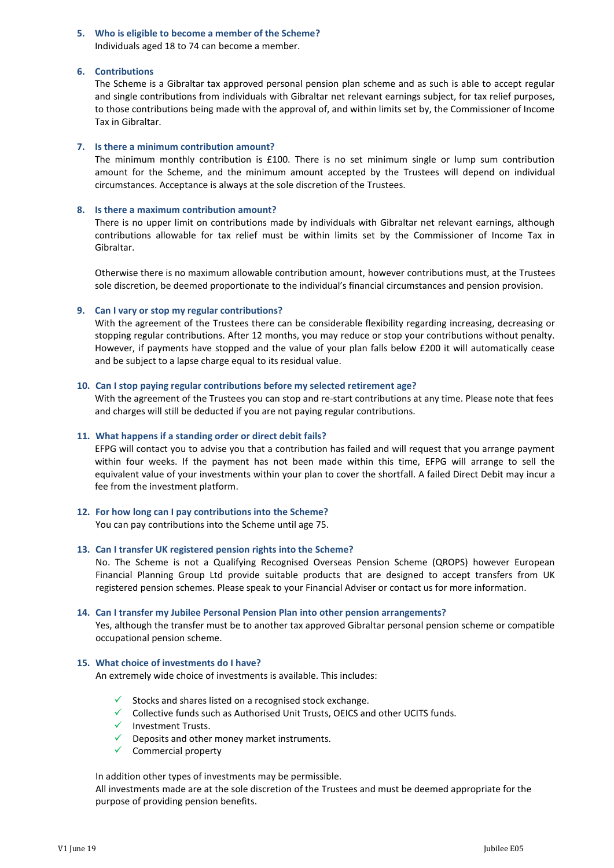#### **5. Who is eligible to become a member of the Scheme?** Individuals aged 18 to 74 can become a member.

## **6. Contributions**

The Scheme is a Gibraltar tax approved personal pension plan scheme and as such is able to accept regular and single contributions from individuals with Gibraltar net relevant earnings subject, for tax relief purposes, to those contributions being made with the approval of, and within limits set by, the Commissioner of Income Tax in Gibraltar.

# **7. Is there a minimum contribution amount?**

The minimum monthly contribution is £100. There is no set minimum single or lump sum contribution amount for the Scheme, and the minimum amount accepted by the Trustees will depend on individual circumstances. Acceptance is always at the sole discretion of the Trustees.

# **8. Is there a maximum contribution amount?**

There is no upper limit on contributions made by individuals with Gibraltar net relevant earnings, although contributions allowable for tax relief must be within limits set by the Commissioner of Income Tax in Gibraltar.

Otherwise there is no maximum allowable contribution amount, however contributions must, at the Trustees sole discretion, be deemed proportionate to the individual's financial circumstances and pension provision.

# **9. Can I vary or stop my regular contributions?**

With the agreement of the Trustees there can be considerable flexibility regarding increasing, decreasing or stopping regular contributions. After 12 months, you may reduce or stop your contributions without penalty. However, if payments have stopped and the value of your plan falls below £200 it will automatically cease and be subject to a lapse charge equal to its residual value.

# **10. Can I stop paying regular contributions before my selected retirement age?**

With the agreement of the Trustees you can stop and re-start contributions at any time. Please note that fees and charges will still be deducted if you are not paying regular contributions.

# **11. What happens if a standing order or direct debit fails?**

EFPG will contact you to advise you that a contribution has failed and will request that you arrange payment within four weeks. If the payment has not been made within this time, EFPG will arrange to sell the equivalent value of your investments within your plan to cover the shortfall. A failed Direct Debit may incur a fee from the investment platform.

## **12. For how long can I pay contributions into the Scheme?**

You can pay contributions into the Scheme until age 75.

## **13. Can I transfer UK registered pension rights into the Scheme?**

No. The Scheme is not a Qualifying Recognised Overseas Pension Scheme (QROPS) however European Financial Planning Group Ltd provide suitable products that are designed to accept transfers from UK registered pension schemes. Please speak to your Financial Adviser or contact us for more information.

## **14. Can I transfer my Jubilee Personal Pension Plan into other pension arrangements?**

Yes, although the transfer must be to another tax approved Gibraltar personal pension scheme or compatible occupational pension scheme.

# **15. What choice of investments do I have?**

An extremely wide choice of investments is available. This includes:

- $\checkmark$  Stocks and shares listed on a recognised stock exchange.
- $\checkmark$  Collective funds such as Authorised Unit Trusts, OEICS and other UCITS funds.
- $\checkmark$  Investment Trusts.
- $\checkmark$  Deposits and other money market instruments.
- $\checkmark$  Commercial property

In addition other types of investments may be permissible.

All investments made are at the sole discretion of the Trustees and must be deemed appropriate for the purpose of providing pension benefits.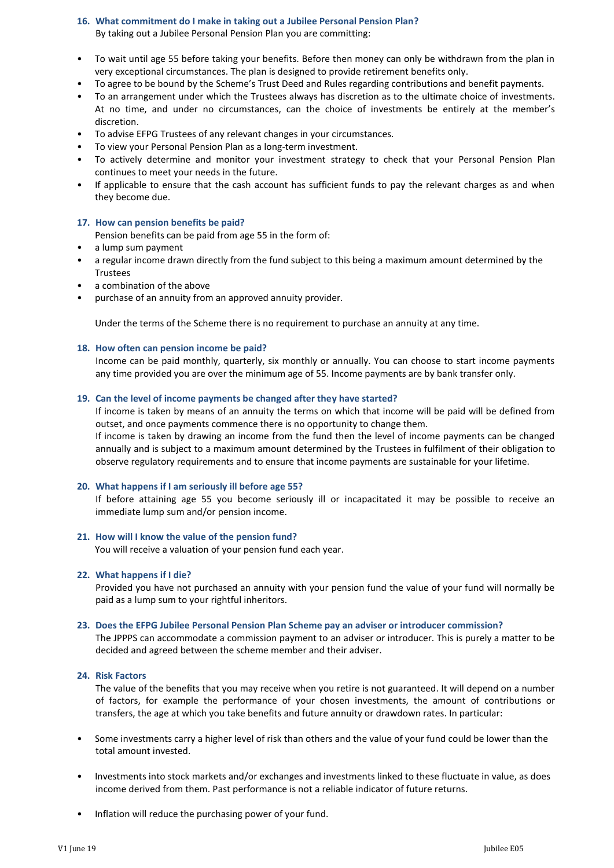## **16. What commitment do I make in taking out a Jubilee Personal Pension Plan?** By taking out a Jubilee Personal Pension Plan you are committing:

- To wait until age 55 before taking your benefits. Before then money can only be withdrawn from the plan in very exceptional circumstances. The plan is designed to provide retirement benefits only.
- To agree to be bound by the Scheme's Trust Deed and Rules regarding contributions and benefit payments.
- To an arrangement under which the Trustees always has discretion as to the ultimate choice of investments. At no time, and under no circumstances, can the choice of investments be entirely at the member's discretion.
- To advise EFPG Trustees of any relevant changes in your circumstances.
- To view your Personal Pension Plan as a long-term investment.
- To actively determine and monitor your investment strategy to check that your Personal Pension Plan continues to meet your needs in the future.
- If applicable to ensure that the cash account has sufficient funds to pay the relevant charges as and when they become due.

#### **17. How can pension benefits be paid?**

Pension benefits can be paid from age 55 in the form of:

- a lump sum payment
- a regular income drawn directly from the fund subject to this being a maximum amount determined by the **Trustees**
- a combination of the above
- purchase of an annuity from an approved annuity provider.

Under the terms of the Scheme there is no requirement to purchase an annuity at any time.

#### **18. How often can pension income be paid?**

Income can be paid monthly, quarterly, six monthly or annually. You can choose to start income payments any time provided you are over the minimum age of 55. Income payments are by bank transfer only.

## **19. Can the level of income payments be changed after they have started?**

If income is taken by means of an annuity the terms on which that income will be paid will be defined from outset, and once payments commence there is no opportunity to change them.

If income is taken by drawing an income from the fund then the level of income payments can be changed annually and is subject to a maximum amount determined by the Trustees in fulfilment of their obligation to observe regulatory requirements and to ensure that income payments are sustainable for your lifetime.

#### **20. What happens if I am seriously ill before age 55?**

If before attaining age 55 you become seriously ill or incapacitated it may be possible to receive an immediate lump sum and/or pension income.

#### **21. How will I know the value of the pension fund?**

You will receive a valuation of your pension fund each year.

#### **22. What happens if I die?**

Provided you have not purchased an annuity with your pension fund the value of your fund will normally be paid as a lump sum to your rightful inheritors.

#### **23. Does the EFPG Jubilee Personal Pension Plan Scheme pay an adviser or introducer commission?**

The JPPPS can accommodate a commission payment to an adviser or introducer. This is purely a matter to be decided and agreed between the scheme member and their adviser.

# **24. Risk Factors**

The value of the benefits that you may receive when you retire is not guaranteed. It will depend on a number of factors, for example the performance of your chosen investments, the amount of contributions or transfers, the age at which you take benefits and future annuity or drawdown rates. In particular:

- Some investments carry a higher level of risk than others and the value of your fund could be lower than the total amount invested.
- Investments into stock markets and/or exchanges and investments linked to these fluctuate in value, as does income derived from them. Past performance is not a reliable indicator of future returns.
- Inflation will reduce the purchasing power of your fund.